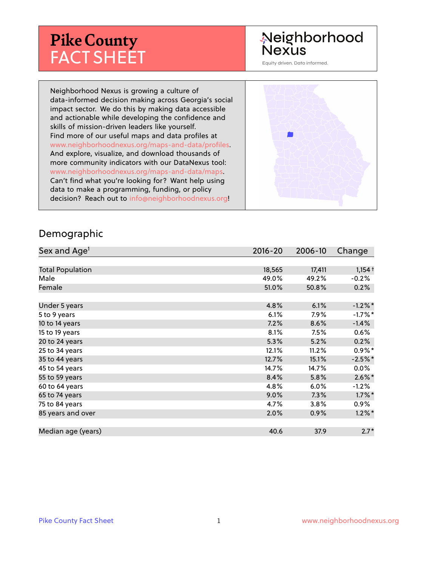# **Pike County** FACT SHEET

# Neighborhood **Nexus**

Equity driven. Data informed.

Neighborhood Nexus is growing a culture of data-informed decision making across Georgia's social impact sector. We do this by making data accessible and actionable while developing the confidence and skills of mission-driven leaders like yourself. Find more of our useful maps and data profiles at www.neighborhoodnexus.org/maps-and-data/profiles. And explore, visualize, and download thousands of more community indicators with our DataNexus tool: www.neighborhoodnexus.org/maps-and-data/maps. Can't find what you're looking for? Want help using data to make a programming, funding, or policy decision? Reach out to [info@neighborhoodnexus.org!](mailto:info@neighborhoodnexus.org)



#### Demographic

| Sex and Age <sup>1</sup> | $2016 - 20$ | 2006-10 | Change               |
|--------------------------|-------------|---------|----------------------|
|                          |             |         |                      |
| <b>Total Population</b>  | 18,565      | 17,411  | $1,154$ †            |
| Male                     | 49.0%       | 49.2%   | $-0.2%$              |
| Female                   | 51.0%       | 50.8%   | 0.2%                 |
|                          |             |         |                      |
| Under 5 years            | 4.8%        | 6.1%    | $-1.2\%$ *           |
| 5 to 9 years             | 6.1%        | 7.9%    | $-1.7%$ *            |
| 10 to 14 years           | 7.2%        | 8.6%    | $-1.4%$              |
| 15 to 19 years           | 8.1%        | 7.5%    | 0.6%                 |
| 20 to 24 years           | 5.3%        | 5.2%    | 0.2%                 |
| 25 to 34 years           | 12.1%       | 11.2%   | $0.9\%$ *            |
| 35 to 44 years           | 12.7%       | 15.1%   | $-2.5%$ *            |
| 45 to 54 years           | 14.7%       | 14.7%   | $0.0\%$              |
| 55 to 59 years           | 8.4%        | 5.8%    | $2.6\%$ *            |
| 60 to 64 years           | 4.8%        | 6.0%    | $-1.2\%$             |
| 65 to 74 years           | 9.0%        | 7.3%    | $1.7\%$ <sup>*</sup> |
| 75 to 84 years           | 4.7%        | 3.8%    | $0.9\%$              |
| 85 years and over        | 2.0%        | 0.9%    | $1.2\%$ *            |
|                          |             |         |                      |
| Median age (years)       | 40.6        | 37.9    | $2.7*$               |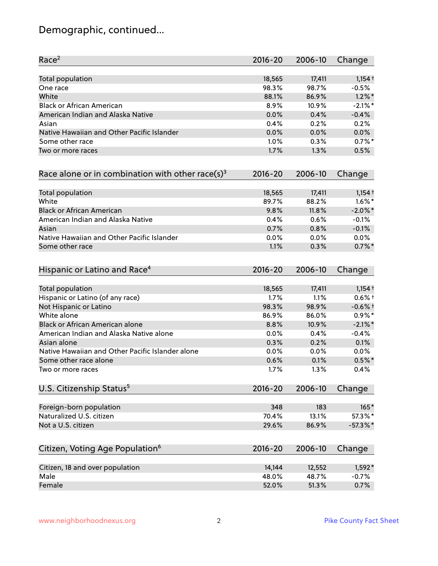# Demographic, continued...

| Race <sup>2</sup>                                            | $2016 - 20$ | 2006-10 | Change      |
|--------------------------------------------------------------|-------------|---------|-------------|
| <b>Total population</b>                                      | 18,565      | 17,411  | $1,154 +$   |
| One race                                                     | 98.3%       | 98.7%   | $-0.5%$     |
| White                                                        | 88.1%       | 86.9%   | $1.2\%$ *   |
| <b>Black or African American</b>                             | 8.9%        | 10.9%   | $-2.1\%$ *  |
| American Indian and Alaska Native                            | 0.0%        | 0.4%    | $-0.4%$     |
| Asian                                                        | 0.4%        | 0.2%    | 0.2%        |
| Native Hawaiian and Other Pacific Islander                   | 0.0%        | 0.0%    | 0.0%        |
| Some other race                                              | 1.0%        | 0.3%    | $0.7%$ *    |
| Two or more races                                            | 1.7%        | 1.3%    | 0.5%        |
| Race alone or in combination with other race(s) <sup>3</sup> | 2016-20     | 2006-10 | Change      |
| Total population                                             | 18,565      | 17,411  | $1,154 +$   |
| White                                                        | 89.7%       | 88.2%   | $1.6\%$ *   |
| <b>Black or African American</b>                             | 9.8%        | 11.8%   | $-2.0\%$ *  |
| American Indian and Alaska Native                            | 0.4%        | 0.6%    | $-0.1%$     |
| Asian                                                        | 0.7%        | 0.8%    | $-0.1%$     |
| Native Hawaiian and Other Pacific Islander                   | 0.0%        | 0.0%    | 0.0%        |
| Some other race                                              | 1.1%        | 0.3%    | $0.7%$ *    |
| Hispanic or Latino and Race <sup>4</sup>                     | $2016 - 20$ | 2006-10 | Change      |
| <b>Total population</b>                                      | 18,565      | 17,411  | $1,154$ †   |
| Hispanic or Latino (of any race)                             | 1.7%        | 1.1%    | $0.6%$ +    |
| Not Hispanic or Latino                                       | 98.3%       | 98.9%   | $-0.6%$ †   |
| White alone                                                  | 86.9%       | 86.0%   | $0.9\%$ *   |
| Black or African American alone                              | 8.8%        | 10.9%   | $-2.1\%$ *  |
| American Indian and Alaska Native alone                      | 0.0%        | 0.4%    | $-0.4%$     |
| Asian alone                                                  | 0.3%        | 0.2%    | 0.1%        |
| Native Hawaiian and Other Pacific Islander alone             | 0.0%        | 0.0%    | 0.0%        |
| Some other race alone                                        | 0.6%        | 0.1%    | $0.5%$ *    |
| Two or more races                                            | 1.7%        | 1.3%    | 0.4%        |
| U.S. Citizenship Status <sup>5</sup>                         | $2016 - 20$ | 2006-10 | Change      |
| Foreign-born population                                      | 348         | 183     | $165*$      |
| Naturalized U.S. citizen                                     | 70.4%       | 13.1%   | 57.3%*      |
| Not a U.S. citizen                                           | 29.6%       | 86.9%   | $-57.3\%$ * |
| Citizen, Voting Age Population <sup>6</sup>                  | $2016 - 20$ | 2006-10 | Change      |
|                                                              |             |         |             |
| Citizen, 18 and over population                              | 14,144      | 12,552  | $1,592*$    |
| Male                                                         | 48.0%       | 48.7%   | $-0.7%$     |
| Female                                                       | 52.0%       | 51.3%   | 0.7%        |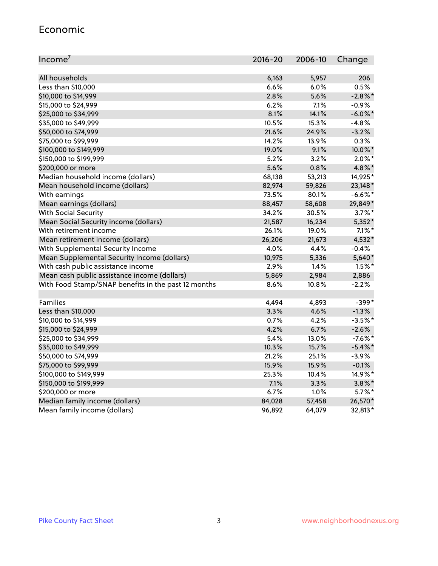#### Economic

| Income <sup>7</sup>                                 | $2016 - 20$ | 2006-10 | Change     |
|-----------------------------------------------------|-------------|---------|------------|
|                                                     |             |         |            |
| All households                                      | 6,163       | 5,957   | 206        |
| Less than \$10,000                                  | 6.6%        | 6.0%    | 0.5%       |
| \$10,000 to \$14,999                                | 2.8%        | 5.6%    | $-2.8\%$ * |
| \$15,000 to \$24,999                                | 6.2%        | 7.1%    | $-0.9%$    |
| \$25,000 to \$34,999                                | 8.1%        | 14.1%   | $-6.0\%$ * |
| \$35,000 to \$49,999                                | 10.5%       | 15.3%   | $-4.8%$    |
| \$50,000 to \$74,999                                | 21.6%       | 24.9%   | $-3.2%$    |
| \$75,000 to \$99,999                                | 14.2%       | 13.9%   | 0.3%       |
| \$100,000 to \$149,999                              | 19.0%       | 9.1%    | 10.0%*     |
| \$150,000 to \$199,999                              | 5.2%        | 3.2%    | $2.0\%$ *  |
| \$200,000 or more                                   | 5.6%        | 0.8%    | 4.8%*      |
| Median household income (dollars)                   | 68,138      | 53,213  | 14,925*    |
| Mean household income (dollars)                     | 82,974      | 59,826  | 23,148*    |
| With earnings                                       | 73.5%       | 80.1%   | $-6.6\%$ * |
| Mean earnings (dollars)                             | 88,457      | 58,608  | 29,849*    |
| <b>With Social Security</b>                         | 34.2%       | 30.5%   | $3.7\%$ *  |
| Mean Social Security income (dollars)               | 21,587      | 16,234  | $5,352*$   |
| With retirement income                              | 26.1%       | 19.0%   | $7.1\%$ *  |
| Mean retirement income (dollars)                    | 26,206      | 21,673  | 4,532*     |
| With Supplemental Security Income                   | 4.0%        | 4.4%    | $-0.4%$    |
| Mean Supplemental Security Income (dollars)         | 10,975      | 5,336   | 5,640*     |
| With cash public assistance income                  | 2.9%        | 1.4%    | $1.5%$ *   |
| Mean cash public assistance income (dollars)        | 5,869       | 2,984   | 2,886      |
| With Food Stamp/SNAP benefits in the past 12 months | 8.6%        | 10.8%   | $-2.2%$    |
|                                                     |             |         |            |
| Families                                            | 4,494       | 4,893   | $-399*$    |
| Less than \$10,000                                  | $3.3\%$     | 4.6%    | $-1.3%$    |
| \$10,000 to \$14,999                                | 0.7%        | 4.2%    | $-3.5%$ *  |
| \$15,000 to \$24,999                                | 4.2%        | 6.7%    | $-2.6%$    |
| \$25,000 to \$34,999                                | 5.4%        | 13.0%   | $-7.6\%$ * |
| \$35,000 to \$49,999                                | 10.3%       | 15.7%   | $-5.4\%$ * |
| \$50,000 to \$74,999                                | 21.2%       | 25.1%   | $-3.9%$    |
| \$75,000 to \$99,999                                | 15.9%       | 15.9%   | $-0.1%$    |
| \$100,000 to \$149,999                              | 25.3%       | 10.4%   | 14.9%*     |
| \$150,000 to \$199,999                              | 7.1%        | 3.3%    | $3.8\%$ *  |
| \$200,000 or more                                   | 6.7%        | 1.0%    | 5.7%*      |
| Median family income (dollars)                      | 84,028      | 57,458  | 26,570*    |
| Mean family income (dollars)                        | 96,892      | 64,079  | 32,813*    |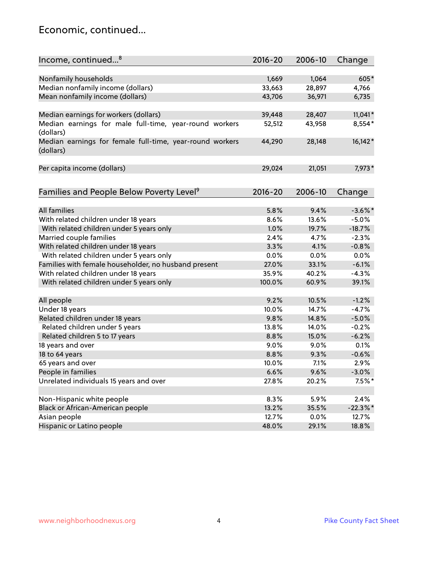### Economic, continued...

| Nonfamily households<br>1,669<br>1,064<br>605*<br>Median nonfamily income (dollars)<br>33,663<br>28,897<br>4,766<br>Mean nonfamily income (dollars)<br>43,706<br>36,971<br>6,735<br>Median earnings for workers (dollars)<br>$11,041*$<br>39,448<br>28,407<br>Median earnings for male full-time, year-round workers<br>8,554*<br>52,512<br>43,958<br>(dollars)<br>16,142*<br>Median earnings for female full-time, year-round workers<br>28,148<br>44,290<br>(dollars)<br>7,973*<br>Per capita income (dollars)<br>29,024<br>21,051<br>Families and People Below Poverty Level <sup>9</sup><br>$2016 - 20$<br>2006-10<br>Change<br><b>All families</b><br>$-3.6\%$ *<br>5.8%<br>9.4%<br>With related children under 18 years<br>8.6%<br>13.6%<br>$-5.0%$<br>With related children under 5 years only<br>1.0%<br>$-18.7%$<br>19.7%<br>Married couple families<br>2.4%<br>$-2.3%$<br>4.7%<br>With related children under 18 years<br>3.3%<br>4.1%<br>$-0.8%$ |
|-------------------------------------------------------------------------------------------------------------------------------------------------------------------------------------------------------------------------------------------------------------------------------------------------------------------------------------------------------------------------------------------------------------------------------------------------------------------------------------------------------------------------------------------------------------------------------------------------------------------------------------------------------------------------------------------------------------------------------------------------------------------------------------------------------------------------------------------------------------------------------------------------------------------------------------------------------------|
|                                                                                                                                                                                                                                                                                                                                                                                                                                                                                                                                                                                                                                                                                                                                                                                                                                                                                                                                                             |
|                                                                                                                                                                                                                                                                                                                                                                                                                                                                                                                                                                                                                                                                                                                                                                                                                                                                                                                                                             |
|                                                                                                                                                                                                                                                                                                                                                                                                                                                                                                                                                                                                                                                                                                                                                                                                                                                                                                                                                             |
|                                                                                                                                                                                                                                                                                                                                                                                                                                                                                                                                                                                                                                                                                                                                                                                                                                                                                                                                                             |
|                                                                                                                                                                                                                                                                                                                                                                                                                                                                                                                                                                                                                                                                                                                                                                                                                                                                                                                                                             |
|                                                                                                                                                                                                                                                                                                                                                                                                                                                                                                                                                                                                                                                                                                                                                                                                                                                                                                                                                             |
|                                                                                                                                                                                                                                                                                                                                                                                                                                                                                                                                                                                                                                                                                                                                                                                                                                                                                                                                                             |
|                                                                                                                                                                                                                                                                                                                                                                                                                                                                                                                                                                                                                                                                                                                                                                                                                                                                                                                                                             |
|                                                                                                                                                                                                                                                                                                                                                                                                                                                                                                                                                                                                                                                                                                                                                                                                                                                                                                                                                             |
|                                                                                                                                                                                                                                                                                                                                                                                                                                                                                                                                                                                                                                                                                                                                                                                                                                                                                                                                                             |
|                                                                                                                                                                                                                                                                                                                                                                                                                                                                                                                                                                                                                                                                                                                                                                                                                                                                                                                                                             |
|                                                                                                                                                                                                                                                                                                                                                                                                                                                                                                                                                                                                                                                                                                                                                                                                                                                                                                                                                             |
|                                                                                                                                                                                                                                                                                                                                                                                                                                                                                                                                                                                                                                                                                                                                                                                                                                                                                                                                                             |
|                                                                                                                                                                                                                                                                                                                                                                                                                                                                                                                                                                                                                                                                                                                                                                                                                                                                                                                                                             |
|                                                                                                                                                                                                                                                                                                                                                                                                                                                                                                                                                                                                                                                                                                                                                                                                                                                                                                                                                             |
|                                                                                                                                                                                                                                                                                                                                                                                                                                                                                                                                                                                                                                                                                                                                                                                                                                                                                                                                                             |
|                                                                                                                                                                                                                                                                                                                                                                                                                                                                                                                                                                                                                                                                                                                                                                                                                                                                                                                                                             |
| With related children under 5 years only<br>0.0%<br>0.0%<br>0.0%                                                                                                                                                                                                                                                                                                                                                                                                                                                                                                                                                                                                                                                                                                                                                                                                                                                                                            |
| Families with female householder, no husband present<br>27.0%<br>$-6.1%$<br>33.1%                                                                                                                                                                                                                                                                                                                                                                                                                                                                                                                                                                                                                                                                                                                                                                                                                                                                           |
| With related children under 18 years<br>35.9%<br>40.2%<br>$-4.3%$                                                                                                                                                                                                                                                                                                                                                                                                                                                                                                                                                                                                                                                                                                                                                                                                                                                                                           |
| With related children under 5 years only<br>100.0%<br>60.9%<br>39.1%                                                                                                                                                                                                                                                                                                                                                                                                                                                                                                                                                                                                                                                                                                                                                                                                                                                                                        |
| $-1.2%$<br>All people<br>9.2%<br>10.5%                                                                                                                                                                                                                                                                                                                                                                                                                                                                                                                                                                                                                                                                                                                                                                                                                                                                                                                      |
| Under 18 years<br>$-4.7%$<br>10.0%<br>14.7%                                                                                                                                                                                                                                                                                                                                                                                                                                                                                                                                                                                                                                                                                                                                                                                                                                                                                                                 |
| Related children under 18 years<br>9.8%<br>14.8%<br>$-5.0%$                                                                                                                                                                                                                                                                                                                                                                                                                                                                                                                                                                                                                                                                                                                                                                                                                                                                                                 |
| 13.8%<br>$-0.2%$<br>Related children under 5 years<br>14.0%                                                                                                                                                                                                                                                                                                                                                                                                                                                                                                                                                                                                                                                                                                                                                                                                                                                                                                 |
| Related children 5 to 17 years<br>8.8%<br>$-6.2%$<br>15.0%                                                                                                                                                                                                                                                                                                                                                                                                                                                                                                                                                                                                                                                                                                                                                                                                                                                                                                  |
| 18 years and over<br>9.0%<br>9.0%<br>0.1%                                                                                                                                                                                                                                                                                                                                                                                                                                                                                                                                                                                                                                                                                                                                                                                                                                                                                                                   |
| 8.8%<br>18 to 64 years<br>9.3%<br>$-0.6%$                                                                                                                                                                                                                                                                                                                                                                                                                                                                                                                                                                                                                                                                                                                                                                                                                                                                                                                   |
| 65 years and over<br>7.1%<br>10.0%<br>2.9%                                                                                                                                                                                                                                                                                                                                                                                                                                                                                                                                                                                                                                                                                                                                                                                                                                                                                                                  |
| People in families<br>6.6%<br>9.6%<br>$-3.0%$                                                                                                                                                                                                                                                                                                                                                                                                                                                                                                                                                                                                                                                                                                                                                                                                                                                                                                               |
| Unrelated individuals 15 years and over<br>$7.5\%$ *<br>27.8%<br>20.2%                                                                                                                                                                                                                                                                                                                                                                                                                                                                                                                                                                                                                                                                                                                                                                                                                                                                                      |
|                                                                                                                                                                                                                                                                                                                                                                                                                                                                                                                                                                                                                                                                                                                                                                                                                                                                                                                                                             |
| Non-Hispanic white people<br>5.9%<br>2.4%<br>8.3%                                                                                                                                                                                                                                                                                                                                                                                                                                                                                                                                                                                                                                                                                                                                                                                                                                                                                                           |
| Black or African-American people<br>$-22.3%$<br>13.2%<br>35.5%                                                                                                                                                                                                                                                                                                                                                                                                                                                                                                                                                                                                                                                                                                                                                                                                                                                                                              |
| Asian people<br>12.7%<br>0.0%<br>12.7%                                                                                                                                                                                                                                                                                                                                                                                                                                                                                                                                                                                                                                                                                                                                                                                                                                                                                                                      |
| 18.8%<br>Hispanic or Latino people<br>48.0%<br>29.1%                                                                                                                                                                                                                                                                                                                                                                                                                                                                                                                                                                                                                                                                                                                                                                                                                                                                                                        |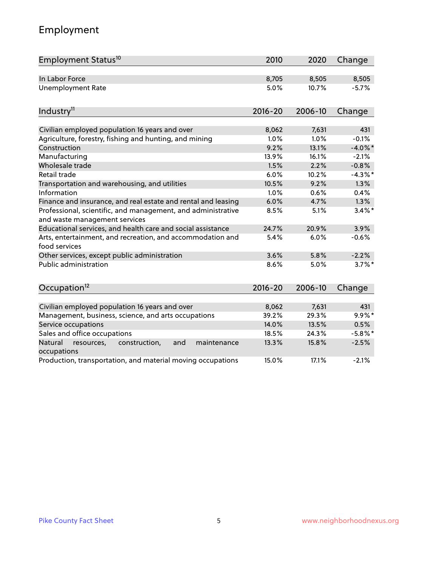# Employment

| Employment Status <sup>10</sup>                                                               | 2010        | 2020    | Change     |
|-----------------------------------------------------------------------------------------------|-------------|---------|------------|
| In Labor Force                                                                                | 8,705       | 8,505   | 8,505      |
| <b>Unemployment Rate</b>                                                                      | 5.0%        | 10.7%   | $-5.7%$    |
| Industry <sup>11</sup>                                                                        | $2016 - 20$ | 2006-10 | Change     |
|                                                                                               |             |         |            |
| Civilian employed population 16 years and over                                                | 8,062       | 7,631   | 431        |
| Agriculture, forestry, fishing and hunting, and mining                                        | 1.0%        | 1.0%    | $-0.1%$    |
| Construction                                                                                  | 9.2%        | 13.1%   | $-4.0\%$ * |
| Manufacturing                                                                                 | 13.9%       | 16.1%   | $-2.1%$    |
| Wholesale trade                                                                               | 1.5%        | 2.2%    | $-0.8%$    |
| Retail trade                                                                                  | 6.0%        | 10.2%   | $-4.3%$ *  |
| Transportation and warehousing, and utilities                                                 | 10.5%       | 9.2%    | 1.3%       |
| Information                                                                                   | 1.0%        | 0.6%    | 0.4%       |
| Finance and insurance, and real estate and rental and leasing                                 | 6.0%        | 4.7%    | 1.3%       |
| Professional, scientific, and management, and administrative<br>and waste management services | 8.5%        | 5.1%    | $3.4\%$ *  |
| Educational services, and health care and social assistance                                   | 24.7%       | 20.9%   | 3.9%       |
| Arts, entertainment, and recreation, and accommodation and<br>food services                   | 5.4%        | 6.0%    | $-0.6%$    |
| Other services, except public administration                                                  | 3.6%        | 5.8%    | $-2.2%$    |
| Public administration                                                                         | 8.6%        | 5.0%    | $3.7\%$ *  |
| Occupation <sup>12</sup>                                                                      | $2016 - 20$ | 2006-10 | Change     |
|                                                                                               |             |         |            |
| Civilian employed population 16 years and over                                                | 8,062       | 7,631   | 431        |
| Management, business, science, and arts occupations                                           | 39.2%       | 29.3%   | $9.9%$ *   |
| Service occupations                                                                           | 14.0%       | 13.5%   | 0.5%       |
| Sales and office occupations                                                                  | 18.5%       | 24.3%   | $-5.8\%$ * |
| Natural<br>and<br>maintenance<br>resources,<br>construction,<br>occupations                   | 13.3%       | 15.8%   | $-2.5%$    |
| Production, transportation, and material moving occupations                                   | 15.0%       | 17.1%   | $-2.1%$    |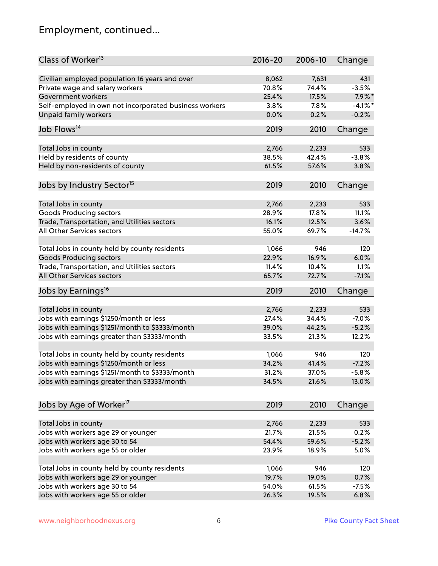# Employment, continued...

| Class of Worker <sup>13</sup>                          | $2016 - 20$ | 2006-10 | Change    |
|--------------------------------------------------------|-------------|---------|-----------|
| Civilian employed population 16 years and over         | 8,062       | 7,631   | 431       |
| Private wage and salary workers                        | 70.8%       | 74.4%   | $-3.5%$   |
| Government workers                                     | 25.4%       | 17.5%   | $7.9\%$ * |
| Self-employed in own not incorporated business workers | 3.8%        | 7.8%    | $-4.1%$ * |
| <b>Unpaid family workers</b>                           | 0.0%        | 0.2%    | $-0.2%$   |
|                                                        |             |         |           |
| Job Flows <sup>14</sup>                                | 2019        | 2010    | Change    |
| Total Jobs in county                                   | 2,766       | 2,233   | 533       |
| Held by residents of county                            | 38.5%       | 42.4%   | $-3.8%$   |
| Held by non-residents of county                        | 61.5%       | 57.6%   | 3.8%      |
|                                                        |             |         |           |
| Jobs by Industry Sector <sup>15</sup>                  | 2019        | 2010    | Change    |
| Total Jobs in county                                   | 2,766       | 2,233   | 533       |
| Goods Producing sectors                                | 28.9%       | 17.8%   | 11.1%     |
| Trade, Transportation, and Utilities sectors           | 16.1%       | 12.5%   | 3.6%      |
| All Other Services sectors                             | 55.0%       | 69.7%   | $-14.7%$  |
|                                                        |             |         |           |
| Total Jobs in county held by county residents          | 1,066       | 946     | 120       |
| <b>Goods Producing sectors</b>                         | 22.9%       | 16.9%   | 6.0%      |
| Trade, Transportation, and Utilities sectors           | 11.4%       | 10.4%   | 1.1%      |
| All Other Services sectors                             | 65.7%       | 72.7%   | $-7.1%$   |
| Jobs by Earnings <sup>16</sup>                         | 2019        | 2010    | Change    |
|                                                        |             |         |           |
| Total Jobs in county                                   | 2,766       | 2,233   | 533       |
| Jobs with earnings \$1250/month or less                | 27.4%       | 34.4%   | $-7.0%$   |
| Jobs with earnings \$1251/month to \$3333/month        | 39.0%       | 44.2%   | $-5.2%$   |
| Jobs with earnings greater than \$3333/month           | 33.5%       | 21.3%   | 12.2%     |
| Total Jobs in county held by county residents          | 1,066       | 946     | 120       |
| Jobs with earnings \$1250/month or less                | 34.2%       | 41.4%   | $-7.2%$   |
| Jobs with earnings \$1251/month to \$3333/month        | 31.2%       | 37.0%   | $-5.8%$   |
| Jobs with earnings greater than \$3333/month           | 34.5%       | 21.6%   | 13.0%     |
|                                                        |             |         |           |
| Jobs by Age of Worker <sup>17</sup>                    | 2019        | 2010    | Change    |
|                                                        |             |         |           |
| Total Jobs in county                                   | 2,766       | 2,233   | 533       |
| Jobs with workers age 29 or younger                    | 21.7%       | 21.5%   | 0.2%      |
| Jobs with workers age 30 to 54                         | 54.4%       | 59.6%   | $-5.2%$   |
| Jobs with workers age 55 or older                      | 23.9%       | 18.9%   | 5.0%      |
| Total Jobs in county held by county residents          | 1,066       | 946     | 120       |
| Jobs with workers age 29 or younger                    | 19.7%       | 19.0%   | 0.7%      |
| Jobs with workers age 30 to 54                         | 54.0%       | 61.5%   | $-7.5%$   |
| Jobs with workers age 55 or older                      | 26.3%       | 19.5%   | 6.8%      |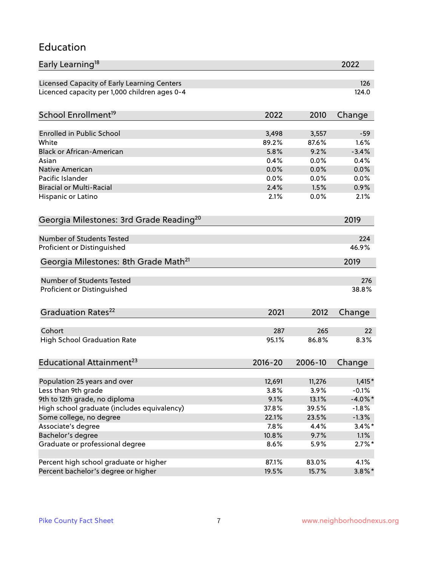#### Education

| Early Learning <sup>18</sup>                          |              |              | 2022         |
|-------------------------------------------------------|--------------|--------------|--------------|
| Licensed Capacity of Early Learning Centers           |              |              | 126          |
| Licenced capacity per 1,000 children ages 0-4         |              |              | 124.0        |
| School Enrollment <sup>19</sup>                       | 2022         | 2010         | Change       |
|                                                       |              |              |              |
| <b>Enrolled in Public School</b>                      | 3,498        | 3,557        | $-59$        |
| White                                                 | 89.2%        | 87.6%        | 1.6%         |
| <b>Black or African-American</b>                      | 5.8%         | 9.2%         | $-3.4%$      |
| Asian                                                 | 0.4%         | 0.0%         | 0.4%         |
| <b>Native American</b>                                | 0.0%         | 0.0%         | 0.0%         |
| Pacific Islander                                      | 0.0%         | 0.0%         | 0.0%         |
| <b>Biracial or Multi-Racial</b><br>Hispanic or Latino | 2.4%<br>2.1% | 1.5%<br>0.0% | 0.9%<br>2.1% |
|                                                       |              |              |              |
| Georgia Milestones: 3rd Grade Reading <sup>20</sup>   |              |              | 2019         |
| Number of Students Tested                             |              |              | 224          |
| Proficient or Distinguished                           |              |              | 46.9%        |
| Georgia Milestones: 8th Grade Math <sup>21</sup>      |              |              | 2019         |
| Number of Students Tested                             |              |              | 276          |
| Proficient or Distinguished                           |              |              | 38.8%        |
| Graduation Rates <sup>22</sup>                        | 2021         | 2012         | Change       |
|                                                       |              |              |              |
| Cohort                                                | 287          | 265          | 22           |
| <b>High School Graduation Rate</b>                    | 95.1%        | 86.8%        | 8.3%         |
| Educational Attainment <sup>23</sup>                  | $2016 - 20$  | 2006-10      | Change       |
|                                                       | 12,691       | 11,276       | $1,415*$     |
| Population 25 years and over                          | 3.8%         | 3.9%         | $-0.1%$      |
| Less than 9th grade<br>9th to 12th grade, no diploma  | 9.1%         | 13.1%        | $-4.0\%$ *   |
|                                                       |              |              |              |
| High school graduate (includes equivalency)           | 37.8%        | 39.5%        | $-1.8%$      |
| Some college, no degree                               | 22.1%        | 23.5%        | $-1.3%$      |
| Associate's degree                                    | 7.8%         | 4.4%         | $3.4\%$ *    |
| Bachelor's degree                                     | 10.8%        | 9.7%         | 1.1%         |
| Graduate or professional degree                       | 8.6%         | 5.9%         | $2.7\%$ *    |
| Percent high school graduate or higher                | 87.1%        | 83.0%        | 4.1%         |
| Percent bachelor's degree or higher                   | 19.5%        | 15.7%        | $3.8\%$ *    |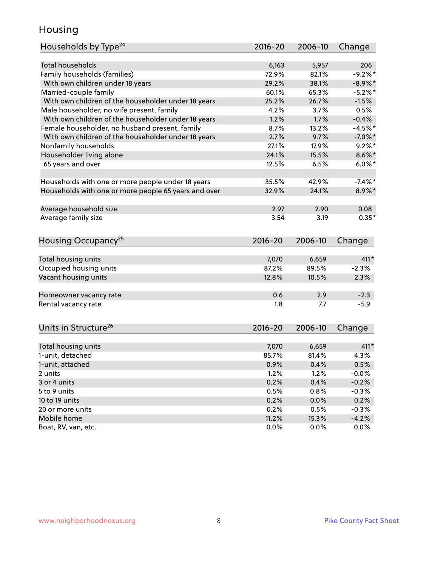### Housing

| Households by Type <sup>24</sup>                     | 2016-20     | 2006-10 | Change     |
|------------------------------------------------------|-------------|---------|------------|
|                                                      |             |         |            |
| <b>Total households</b>                              | 6,163       | 5,957   | 206        |
| Family households (families)                         | 72.9%       | 82.1%   | $-9.2%$ *  |
| With own children under 18 years                     | 29.2%       | 38.1%   | $-8.9\%$ * |
| Married-couple family                                | 60.1%       | 65.3%   | $-5.2%$    |
| With own children of the householder under 18 years  | 25.2%       | 26.7%   | $-1.5%$    |
| Male householder, no wife present, family            | 4.2%        | 3.7%    | 0.5%       |
| With own children of the householder under 18 years  | 1.2%        | 1.7%    | $-0.4%$    |
| Female householder, no husband present, family       | 8.7%        | 13.2%   | $-4.5%$ *  |
| With own children of the householder under 18 years  | 2.7%        | 9.7%    | $-7.0\%$ * |
| Nonfamily households                                 | 27.1%       | 17.9%   | $9.2\%$ *  |
| Householder living alone                             | 24.1%       | 15.5%   | $8.6\%$ *  |
| 65 years and over                                    | 12.5%       | 6.5%    | $6.0\%$ *  |
|                                                      |             |         |            |
| Households with one or more people under 18 years    | 35.5%       | 42.9%   | $-7.4\%$ * |
| Households with one or more people 65 years and over | 32.9%       | 24.1%   | $8.9\%$ *  |
|                                                      |             |         |            |
| Average household size                               | 2.97        | 2.90    | 0.08       |
| Average family size                                  | 3.54        | 3.19    | $0.35*$    |
|                                                      |             |         |            |
| Housing Occupancy <sup>25</sup>                      | $2016 - 20$ | 2006-10 | Change     |
|                                                      |             |         |            |
| Total housing units                                  | 7,070       | 6,659   | 411*       |
| Occupied housing units                               | 87.2%       | 89.5%   | $-2.3%$    |
| Vacant housing units                                 | 12.8%       | 10.5%   | 2.3%       |
|                                                      |             |         |            |
| Homeowner vacancy rate                               | 0.6         | 2.9     | $-2.3$     |
| Rental vacancy rate                                  | 1.8         | 7.7     | $-5.9$     |
|                                                      |             |         |            |
| Units in Structure <sup>26</sup>                     | $2016 - 20$ | 2006-10 |            |
|                                                      |             |         | Change     |
| Total housing units                                  | 7,070       | 6,659   | $411*$     |
| 1-unit, detached                                     | 85.7%       | 81.4%   | 4.3%       |
| 1-unit, attached                                     | 0.9%        | 0.4%    | 0.5%       |
|                                                      | 1.2%        | 1.2%    | $-0.0%$    |
| 2 units<br>3 or 4 units                              | 0.2%        | 0.4%    | $-0.2%$    |
|                                                      |             |         |            |
| 5 to 9 units                                         | 0.5%        | 0.8%    | $-0.3%$    |
| 10 to 19 units                                       | 0.2%        | 0.0%    | 0.2%       |
| 20 or more units                                     | 0.2%        | 0.5%    | $-0.3%$    |
| Mobile home                                          | 11.2%       | 15.3%   | $-4.2%$    |
| Boat, RV, van, etc.                                  | 0.0%        | 0.0%    | $0.0\%$    |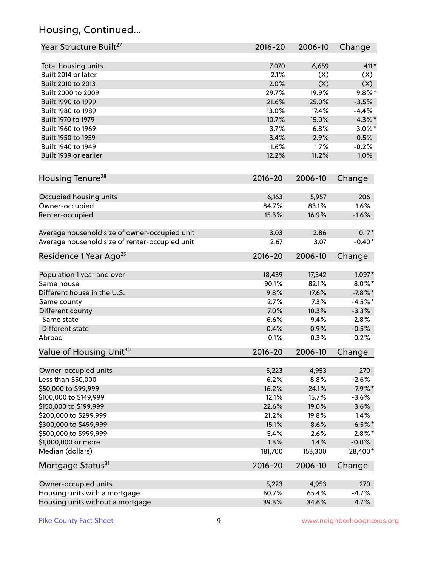# Housing, Continued...

| Year Structure Built <sup>27</sup>                                                              | 2016-20      | 2006-10      | Change              |
|-------------------------------------------------------------------------------------------------|--------------|--------------|---------------------|
| Total housing units                                                                             | 7,070        | 6,659        | 411*                |
| Built 2014 or later                                                                             | 2.1%         | (X)          | (X)                 |
| Built 2010 to 2013                                                                              | 2.0%         | (X)          | (X)                 |
| Built 2000 to 2009                                                                              | 29.7%        | 19.9%        | $9.8\%$ *           |
|                                                                                                 | 21.6%        | 25.0%        |                     |
| Built 1990 to 1999                                                                              | 13.0%        |              | $-3.5%$             |
| Built 1980 to 1989                                                                              |              | 17.4%        | $-4.4%$             |
| Built 1970 to 1979                                                                              | 10.7%        | 15.0%        | $-4.3\%$ *          |
| Built 1960 to 1969                                                                              | 3.7%         | 6.8%         | $-3.0\%$ *          |
| Built 1950 to 1959                                                                              | 3.4%         | 2.9%         | 0.5%                |
| Built 1940 to 1949                                                                              | 1.6%         | 1.7%         | $-0.2%$             |
| Built 1939 or earlier                                                                           | 12.2%        | 11.2%        | 1.0%                |
| Housing Tenure <sup>28</sup>                                                                    | $2016 - 20$  | 2006-10      | Change              |
| Occupied housing units                                                                          | 6,163        | 5,957        | 206                 |
| Owner-occupied                                                                                  | 84.7%        | 83.1%        | 1.6%                |
| Renter-occupied                                                                                 | 15.3%        | 16.9%        | $-1.6%$             |
|                                                                                                 |              |              |                     |
| Average household size of owner-occupied unit<br>Average household size of renter-occupied unit | 3.03<br>2.67 | 2.86<br>3.07 | $0.17*$<br>$-0.40*$ |
|                                                                                                 | 2016-20      | 2006-10      |                     |
| Residence 1 Year Ago <sup>29</sup>                                                              |              |              | Change              |
| Population 1 year and over                                                                      | 18,439       | 17,342       | $1,097*$            |
| Same house                                                                                      | 90.1%        | 82.1%        | $8.0\%$ *           |
| Different house in the U.S.                                                                     | 9.8%         | 17.6%        | $-7.8\%$ *          |
| Same county                                                                                     | 2.7%         | 7.3%         | $-4.5%$ *           |
| Different county                                                                                | 7.0%         | 10.3%        | $-3.3%$             |
| Same state                                                                                      | 6.6%         | 9.4%         | $-2.8%$             |
| Different state                                                                                 | 0.4%         | 0.9%         | $-0.5%$             |
| Abroad                                                                                          | 0.1%         | 0.3%         | $-0.2%$             |
| Value of Housing Unit <sup>30</sup>                                                             | 2016-20      | 2006-10      | Change              |
| Owner-occupied units                                                                            | 5,223        | 4,953        | 270                 |
| Less than \$50,000                                                                              | 6.2%         | 8.8%         | $-2.6%$             |
| \$50,000 to \$99,999                                                                            | 16.2%        | 24.1%        | $-7.9%$ *           |
| \$100,000 to \$149,999                                                                          | 12.1%        | 15.7%        | $-3.6%$             |
| \$150,000 to \$199,999                                                                          | 22.6%        | 19.0%        | 3.6%                |
| \$200,000 to \$299,999                                                                          | 21.2%        | 19.8%        | 1.4%                |
| \$300,000 to \$499,999                                                                          | 15.1%        | 8.6%         | $6.5%$ *            |
| \$500,000 to \$999,999                                                                          | 5.4%         | 2.6%         | $2.8\%$ *           |
| \$1,000,000 or more                                                                             | 1.3%         | 1.4%         | $-0.0\%$            |
| Median (dollars)                                                                                | 181,700      | 153,300      | 28,400*             |
| Mortgage Status <sup>31</sup>                                                                   | $2016 - 20$  | 2006-10      | Change              |
|                                                                                                 |              |              |                     |
| Owner-occupied units                                                                            | 5,223        | 4,953        | 270                 |
| Housing units with a mortgage                                                                   | 60.7%        | 65.4%        | $-4.7%$             |
| Housing units without a mortgage                                                                | 39.3%        | 34.6%        | 4.7%                |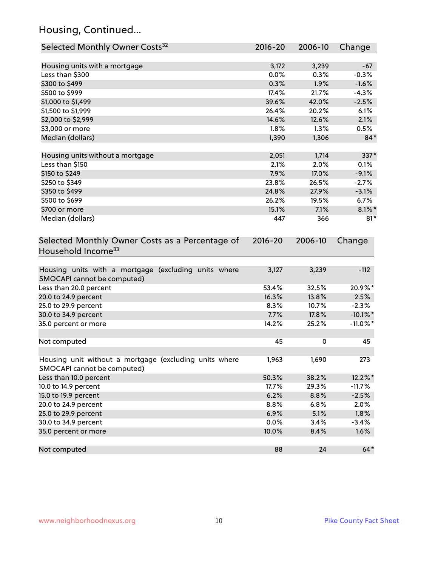# Housing, Continued...

| Selected Monthly Owner Costs <sup>32</sup>                                            | 2016-20     | 2006-10 | Change      |
|---------------------------------------------------------------------------------------|-------------|---------|-------------|
| Housing units with a mortgage                                                         | 3,172       | 3,239   | $-67$       |
| Less than \$300                                                                       | 0.0%        | 0.3%    | $-0.3%$     |
| \$300 to \$499                                                                        | 0.3%        | 1.9%    | $-1.6%$     |
| \$500 to \$999                                                                        | 17.4%       | 21.7%   | $-4.3%$     |
| \$1,000 to \$1,499                                                                    | 39.6%       | 42.0%   | $-2.5%$     |
| \$1,500 to \$1,999                                                                    | 26.4%       | 20.2%   | 6.1%        |
| \$2,000 to \$2,999                                                                    | 14.6%       | 12.6%   | 2.1%        |
| \$3,000 or more                                                                       | 1.8%        | 1.3%    | 0.5%        |
| Median (dollars)                                                                      | 1,390       | 1,306   | $84*$       |
|                                                                                       |             |         |             |
| Housing units without a mortgage                                                      | 2,051       | 1,714   | $337*$      |
| Less than \$150                                                                       | 2.1%        | 2.0%    | 0.1%        |
| \$150 to \$249                                                                        | 7.9%        | 17.0%   | $-9.1%$     |
| \$250 to \$349                                                                        | 23.8%       | 26.5%   | $-2.7%$     |
| \$350 to \$499                                                                        | 24.8%       | 27.9%   | $-3.1%$     |
| \$500 to \$699                                                                        | 26.2%       | 19.5%   | 6.7%        |
| \$700 or more                                                                         | 15.1%       | 7.1%    | $8.1\%$ *   |
| Median (dollars)                                                                      | 447         | 366     | $81*$       |
| Selected Monthly Owner Costs as a Percentage of<br>Household Income <sup>33</sup>     | $2016 - 20$ | 2006-10 | Change      |
| Housing units with a mortgage (excluding units where<br>SMOCAPI cannot be computed)   | 3,127       | 3,239   | $-112$      |
| Less than 20.0 percent                                                                | 53.4%       | 32.5%   | 20.9%*      |
| 20.0 to 24.9 percent                                                                  | 16.3%       | 13.8%   | 2.5%        |
| 25.0 to 29.9 percent                                                                  | 8.3%        | 10.7%   | $-2.3%$     |
| 30.0 to 34.9 percent                                                                  | 7.7%        | 17.8%   | $-10.1\%$ * |
| 35.0 percent or more                                                                  | 14.2%       | 25.2%   | $-11.0\%$ * |
| Not computed                                                                          | 45          | 0       | 45          |
| Housing unit without a mortgage (excluding units where<br>SMOCAPI cannot be computed) | 1,963       | 1,690   | 273         |
| Less than 10.0 percent                                                                | 50.3%       | 38.2%   | 12.2%*      |
| 10.0 to 14.9 percent                                                                  | 17.7%       | 29.3%   | $-11.7%$    |
| 15.0 to 19.9 percent                                                                  | 6.2%        | 8.8%    | $-2.5%$     |
| 20.0 to 24.9 percent                                                                  | 8.8%        | 6.8%    | 2.0%        |
| 25.0 to 29.9 percent                                                                  | 6.9%        | 5.1%    | 1.8%        |
| 30.0 to 34.9 percent                                                                  | 0.0%        | 3.4%    | $-3.4%$     |
| 35.0 percent or more                                                                  | 10.0%       | 8.4%    | 1.6%        |
| Not computed                                                                          | 88          | 24      | $64*$       |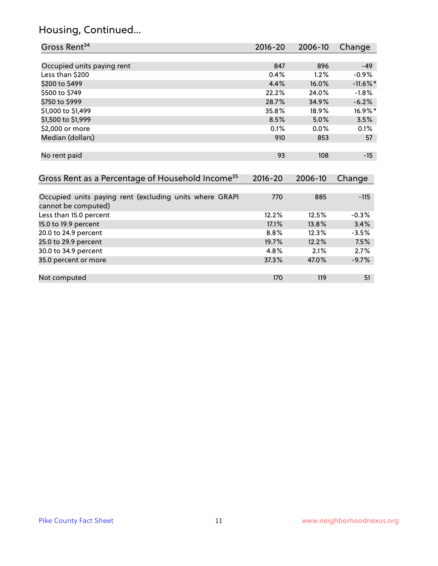#### Housing, Continued...

| Gross Rent <sup>34</sup>                                     | 2016-20     | 2006-10 | Change      |
|--------------------------------------------------------------|-------------|---------|-------------|
|                                                              |             |         |             |
| Occupied units paying rent                                   | 847         | 896     | $-49$       |
| Less than \$200                                              | 0.4%        | 1.2%    | $-0.9%$     |
| \$200 to \$499                                               | 4.4%        | 16.0%   | $-11.6\%$ * |
| \$500 to \$749                                               | 22.2%       | 24.0%   | $-1.8%$     |
| \$750 to \$999                                               | 28.7%       | 34.9%   | $-6.2%$     |
| \$1,000 to \$1,499                                           | 35.8%       | 18.9%   | 16.9%*      |
| \$1,500 to \$1,999                                           | 8.5%        | 5.0%    | 3.5%        |
| \$2,000 or more                                              | 0.1%        | $0.0\%$ | 0.1%        |
| Median (dollars)                                             | 910         | 853     | 57          |
|                                                              |             |         |             |
| No rent paid                                                 | 93          | 108     | $-15$       |
|                                                              |             |         |             |
| Gross Rent as a Percentage of Household Income <sup>35</sup> | $2016 - 20$ | 2006-10 | Change      |
|                                                              |             |         |             |
| Occupied units paying rent (excluding units where GRAPI      | 770         | 885     | $-115$      |
| cannot be computed)                                          |             |         |             |
| Less than 15.0 percent                                       | 12.2%       | 12.5%   | $-0.3%$     |
| 15.0 to 19.9 percent                                         | 17.1%       | 13.8%   | 3.4%        |

20.0 to 24.9 percent 2.5% 25.0 to 29.9 percent 19.7% 12.2% 7.5% 30.0 to 34.9 percent 2.7% 2.1% 2.7% 35.0 percent 2.7% 2.1% 2.7% 2.7% 2.7% 2.7% 2.7% 35.0 percent or more

Not computed **170** 119 51

35.0 percent or more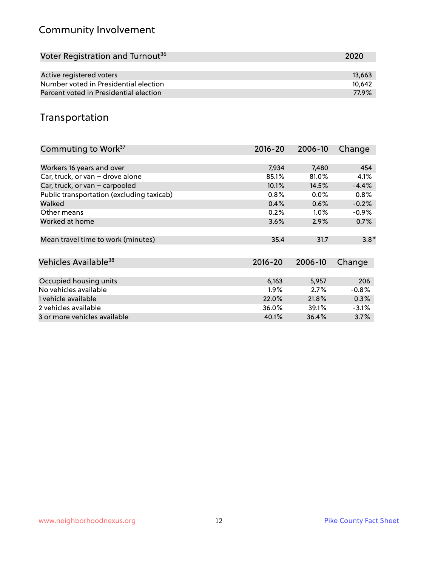# Community Involvement

| Voter Registration and Turnout <sup>36</sup> | 2020   |
|----------------------------------------------|--------|
|                                              |        |
| Active registered voters                     | 13.663 |
| Number voted in Presidential election        | 10.642 |
| Percent voted in Presidential election       | 77.9%  |

### Transportation

| Commuting to Work <sup>37</sup>           | 2016-20     | 2006-10 | Change  |
|-------------------------------------------|-------------|---------|---------|
|                                           |             |         |         |
| Workers 16 years and over                 | 7,934       | 7,480   | 454     |
| Car, truck, or van - drove alone          | 85.1%       | 81.0%   | 4.1%    |
| Car, truck, or van - carpooled            | 10.1%       | 14.5%   | $-4.4%$ |
| Public transportation (excluding taxicab) | 0.8%        | $0.0\%$ | 0.8%    |
| Walked                                    | 0.4%        | 0.6%    | $-0.2%$ |
| Other means                               | 0.2%        | $1.0\%$ | $-0.9%$ |
| Worked at home                            | 3.6%        | 2.9%    | 0.7%    |
|                                           |             |         |         |
| Mean travel time to work (minutes)        | 35.4        | 31.7    | $3.8*$  |
|                                           |             |         |         |
| Vehicles Available <sup>38</sup>          | $2016 - 20$ | 2006-10 | Change  |
|                                           |             |         |         |
| Occupied housing units                    | 6,163       | 5,957   | 206     |
| No vehicles available                     | $1.9\%$     | 2.7%    | $-0.8%$ |
| 1 vehicle available                       | 22.0%       | 21.8%   | 0.3%    |
| 2 vehicles available                      | 36.0%       | 39.1%   | $-3.1%$ |
| 3 or more vehicles available              | 40.1%       | 36.4%   | 3.7%    |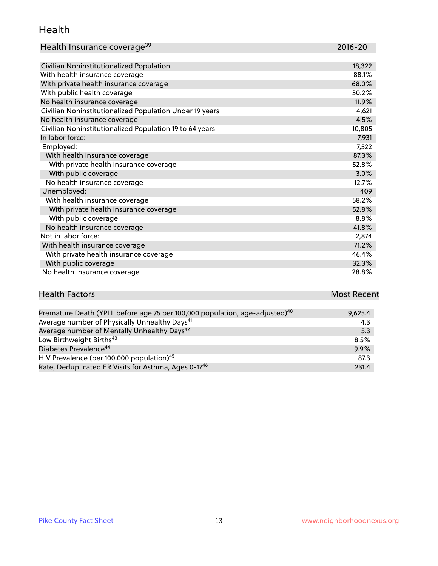#### Health

| Health Insurance coverage <sup>39</sup> | 2016-20 |
|-----------------------------------------|---------|
|-----------------------------------------|---------|

| Civilian Noninstitutionalized Population                | 18,322 |
|---------------------------------------------------------|--------|
| With health insurance coverage                          | 88.1%  |
| With private health insurance coverage                  | 68.0%  |
| With public health coverage                             | 30.2%  |
| No health insurance coverage                            | 11.9%  |
| Civilian Noninstitutionalized Population Under 19 years | 4,621  |
| No health insurance coverage                            | 4.5%   |
| Civilian Noninstitutionalized Population 19 to 64 years | 10,805 |
| In labor force:                                         | 7,931  |
| Employed:                                               | 7,522  |
| With health insurance coverage                          | 87.3%  |
| With private health insurance coverage                  | 52.8%  |
| With public coverage                                    | 3.0%   |
| No health insurance coverage                            | 12.7%  |
| Unemployed:                                             | 409    |
| With health insurance coverage                          | 58.2%  |
| With private health insurance coverage                  | 52.8%  |
| With public coverage                                    | 8.8%   |
| No health insurance coverage                            | 41.8%  |
| Not in labor force:                                     | 2,874  |
| With health insurance coverage                          | 71.2%  |
| With private health insurance coverage                  | 46.4%  |
| With public coverage                                    | 32.3%  |
| No health insurance coverage                            | 28.8%  |

# **Health Factors Most Recent** And The Control of the Control of The Control of The Control of The Control of The Control of The Control of The Control of The Control of The Control of The Control of The Control of The Contr

| Premature Death (YPLL before age 75 per 100,000 population, age-adjusted) <sup>40</sup> | 9,625.4 |
|-----------------------------------------------------------------------------------------|---------|
| Average number of Physically Unhealthy Days <sup>41</sup>                               | 4.3     |
| Average number of Mentally Unhealthy Days <sup>42</sup>                                 | 5.3     |
| Low Birthweight Births <sup>43</sup>                                                    | 8.5%    |
| Diabetes Prevalence <sup>44</sup>                                                       | 9.9%    |
| HIV Prevalence (per 100,000 population) <sup>45</sup>                                   | 87.3    |
| Rate, Deduplicated ER Visits for Asthma, Ages 0-17 <sup>46</sup>                        | 231.4   |